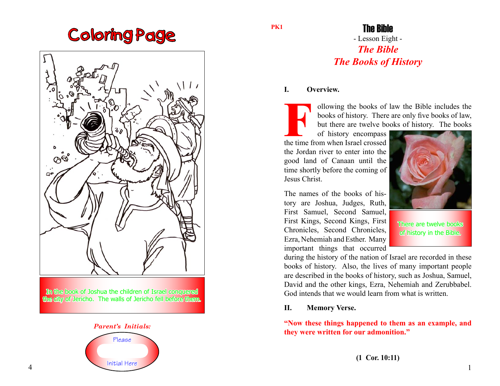# Coloring Page



In the book of Joshua the children of Israel conquered the city of Jericho. The walls of Jericho fell before them.



**PK1**

### The Bible

### - Lesson Eight - *The Bible The Books of History*

#### **I. Overview.**

ollowing the books of law the Bible includes the books of history. There are only five books of law, but there are twelve books of history. The books

of history encompass the time from when Israel crossed the Jordan river to enter into the good land of Canaan until the time shortly before the coming of Jesus Christ.

The names of the books of history are Joshua, Judges, Ruth, First Samuel, Second Samuel, First Kings, Second Kings, First Chronicles, Second Chronicles, Ezra, Nehemiah and Esther. Many important things that occurred



There are twelve books of history in the Bible.

during the history of the nation of Israel are recorded in these books of history. Also, the lives of many important people are described in the books of history, such as Joshua, Samuel, David and the other kings, Ezra, Nehemiah and Zerubbabel. God intends that we would learn from what is written.

#### **II. Memory Verse.**

**"Now these things happened to them as an example, and they were written for our admonition."**

**(1 Cor. 10:11)**